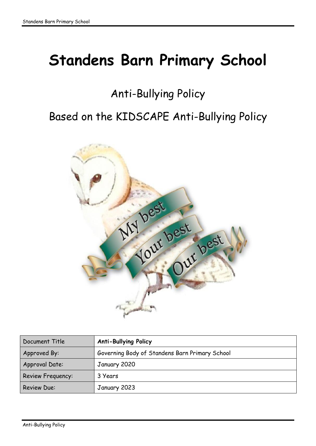# <span id="page-0-0"></span>**Standens Barn Primary School**

# Anti-Bullying Policy

# Based on the KIDSCAPE Anti-Bullying Policy



| Document Title     | <b>Anti-Bullying Policy</b>                    |
|--------------------|------------------------------------------------|
| Approved By:       | Governing Body of Standens Barn Primary School |
| Approval Date:     | January 2020                                   |
| Review Frequency:  | 3 Years                                        |
| <b>Review Due:</b> | January 2023                                   |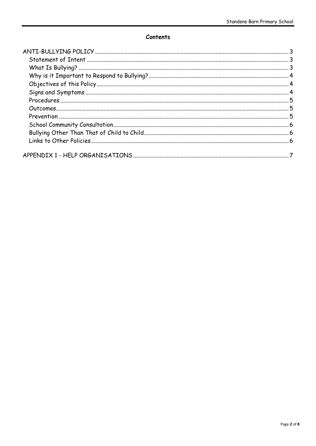#### Contents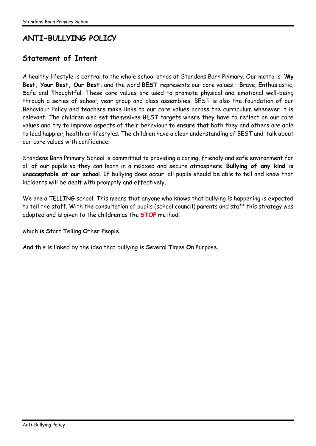# **ANTI-BULLYING POLICY**

## <span id="page-2-0"></span>**Statement of Intent**

A healthy lifestyle is central to the whole school ethos at Standens Barn Primary. Our motto is '**My Best, Your Best, Our Best**'; and the word **BEST** represents our core values – **B**rave, **E**nthusiastic, **S**afe and **T**houghtful. These core values are used to promote physical and emotional well-being through a series of school, year group and class assemblies. BEST is also the foundation of our Behaviour Policy and teachers make links to our core values across the curriculum whenever it is relevant. The children also set themselves BEST targets where they have to reflect on our core values and try to improve aspects of their behaviour to ensure that both they and others are able to lead happier, healthier lifestyles. The children have a clear understanding of BEST and talk about our core values with confidence.

Standens Barn Primary School is committed to providing a caring, friendly and safe environment for all of our pupils so they can learn in a relaxed and secure atmosphere. **Bullying of any kind is unacceptable at our school**. If bullying does occur, all pupils should be able to tell and know that incidents will be dealt with promptly and effectively.

We are a TELLING school. This means that anyone who knows that bullying is happening is expected to tell the staff. With the consultation of pupils (school council) parents and staff this strategy was adopted and is given to the children as the **STOP** method;

which is **S**tart **T**elling **O**ther **P**eople.

<span id="page-2-1"></span>And this is linked by the idea that bullying is **S**everal **T**imes **O**n **P**urpose.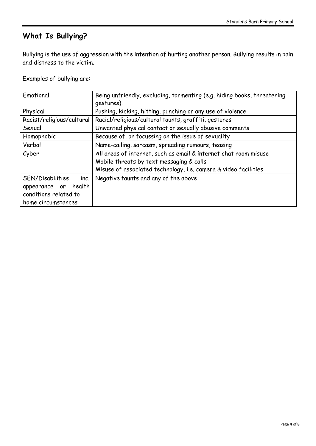# **What Is Bullying?**

Bullying is the use of aggression with the intention of hurting another person. Bullying results in pain and distress to the victim.

Examples of bullying are:

| Emotional                                                                                          | Being unfriendly, excluding, tormenting (e.g. hiding books, threatening<br>gestures).                                                                                           |
|----------------------------------------------------------------------------------------------------|---------------------------------------------------------------------------------------------------------------------------------------------------------------------------------|
| Physical                                                                                           | Pushing, kicking, hitting, punching or any use of violence                                                                                                                      |
| Racist/religious/cultural                                                                          | Racial/religious/cultural taunts, graffiti, gestures                                                                                                                            |
| Sexual                                                                                             | Unwanted physical contact or sexually abusive comments                                                                                                                          |
| Homophobic                                                                                         | Because of, or focussing on the issue of sexuality                                                                                                                              |
| Verbal                                                                                             | Name-calling, sarcasm, spreading rumours, teasing                                                                                                                               |
| Cyber                                                                                              | All areas of internet, such as email & internet chat room misuse<br>Mobile threats by text messaging & calls<br>Misuse of associated technology, i.e. camera & video facilities |
| SEN/Disabilities<br>inc.<br>health<br>appearance or<br>conditions related to<br>home circumstances | Negative taunts and any of the above                                                                                                                                            |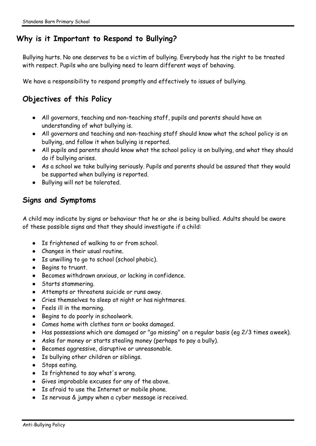## <span id="page-4-0"></span>**Why is it Important to Respond to Bullying?**

Bullying hurts. No one deserves to be a victim of bullying. Everybody has the right to be treated with respect. Pupils who are bullying need to learn different ways of behaving.

We have a responsibility to respond promptly and effectively to issues of bullying.

# <span id="page-4-1"></span>**Objectives of this Policy**

- All governors, teaching and non-teaching staff, pupils and parents should have an understanding of what bullying is.
- All governors and teaching and non-teaching staff should know what the school policy is on bullying, and follow it when bullying is reported.
- All pupils and parents should know what the school policy is on bullying, and what they should do if bullying arises.
- As a school we take bullying seriously. Pupils and parents should be assured that they would be supported when bullying is reported.
- Bullying will not be tolerated.

## <span id="page-4-2"></span>**Signs and Symptoms**

A child may indicate by signs or behaviour that he or she is being bullied. Adults should be aware of these possible signs and that they should investigate if a child:

- Is frightened of walking to or from school.
- Changes in their usual routine.
- Is unwilling to go to school (school phobic).
- Begins to truant.
- Becomes withdrawn anxious, or lacking in confidence.
- Starts stammering.
- Attempts or threatens suicide or runs away.
- Cries themselves to sleep at night or has nightmares.
- Feels ill in the morning.
- Begins to do poorly in schoolwork.
- Comes home with clothes torn or books damaged.
- Has possessions which are damaged or "go missing" on a regular basis (eg 2/3 times aweek).
- Asks for money or starts stealing money (perhaps to pay a bully).
- Becomes aggressive, disruptive or unreasonable.
- Is bullying other children or siblings.
- Stops eating.
- Is frightened to say what's wrong.
- Gives improbable excuses for any of the above.
- Is afraid to use the Internet or mobile phone.
- Is nervous & jumpy when a cyber message is received.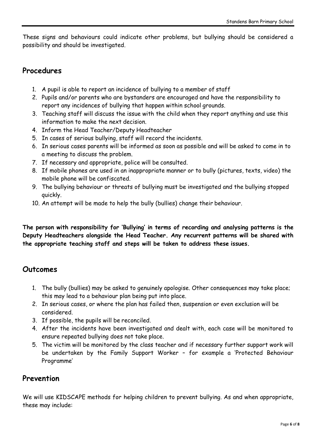These signs and behaviours could indicate other problems, but bullying should be considered a possibility and should be investigated.

#### <span id="page-5-0"></span>**Procedures**

- 1. A pupil is able to report an incidence of bullying to a member of staff
- 2. Pupils and/or parents who are bystanders are encouraged and have the responsibility to report any incidences of bullying that happen within school grounds.
- 3. Teaching staff will discuss the issue with the child when they report anything and use this information to make the next decision.
- 4. Inform the Head Teacher/Deputy Headteacher
- 5. In cases of serious bullying, staff will record the incidents.
- 6. In serious cases parents will be informed as soon as possible and will be asked to come in to a meeting to discuss the problem.
- 7. If necessary and appropriate, police will be consulted.
- 8. If mobile phones are used in an inappropriate manner or to bully (pictures, texts, video) the mobile phone will be confiscated.
- 9. The bullying behaviour or threats of bullying must be investigated and the bullying stopped quickly.
- 10. An attempt will be made to help the bully (bullies) change their behaviour.

**The person with responsibility for 'Bullying' in terms of recording and analysing patterns is the Deputy Headteachers alongside the Head Teacher. Any recurrent patterns will be shared with the appropriate teaching staff and steps will be taken to address these issues.**

## <span id="page-5-1"></span>**Outcomes**

- 1. The bully (bullies) may be asked to genuinely apologise. Other consequences may take place; this may lead to a behaviour plan being put into place.
- 2. In serious cases, or where the plan has failed then, suspension or even exclusion will be considered.
- 3. If possible, the pupils will be reconciled.
- 4. After the incidents have been investigated and dealt with, each case will be monitored to ensure repeated bullying does not take place.
- 5. The victim will be monitored by the class teacher and if necessary further support work will be undertaken by the Family Support Worker – for example a 'Protected Behaviour Programme'

## <span id="page-5-2"></span>**Prevention**

We will use KIDSCAPE methods for helping children to prevent bullying. As and when appropriate, these may include: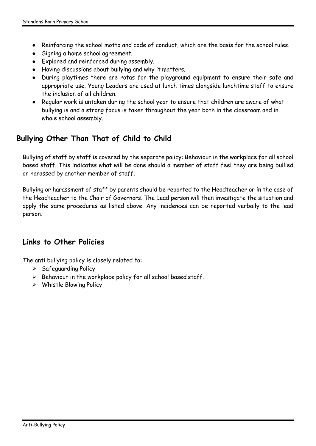- Reinforcing the school motto and code of conduct, which are the basis for the school rules.
- Signing a home school agreement.
- Explored and reinforced during assembly.
- Having discussions about bullying and why it matters.
- During playtimes there are rotas for the playground equipment to ensure their safe and appropriate use. Young Leaders are used at lunch times alongside lunchtime staff to ensure the inclusion of all children.
- Regular work is untaken during the school year to ensure that children are aware of what bullying is and a strong focus is taken throughout the year both in the classroom and in whole school assembly.

# <span id="page-6-0"></span>**Bullying Other Than That of Child to Child**

Bullying of staff by staff is covered by the separate policy: Behaviour in the workplace for all school based staff. This indicates what will be done should a member of staff feel they are being bullied or harassed by another member of staff.

Bullying or harassment of staff by parents should be reported to the Headteacher or in the case of the Headteacher to the Chair of Governors. The Lead person will then investigate the situation and apply the same procedures as listed above. Any incidences can be reported verbally to the lead person.

#### <span id="page-6-1"></span>**Links to Other Policies**

The anti bullying policy is closely related to:

- $\triangleright$  Safeguarding Policy
- $\triangleright$  Behaviour in the workplace policy for all school based staff.
- Whistle Blowing Policy